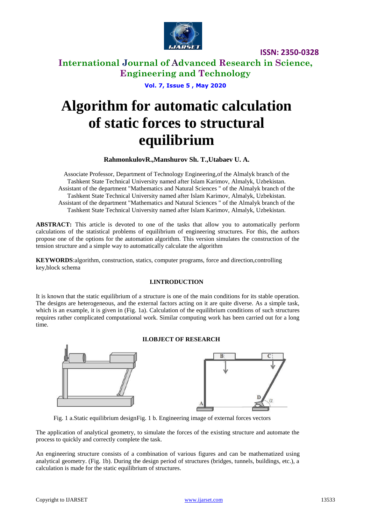

# **International Journal of Advanced Research in Science, Engineering and Technology**

**Vol. 7, Issue 5 , May 2020**

# **Algorithm for automatic calculation of static forces to structural equilibrium**

## **RahmonkulovR.,Manshurov Sh. T.,Utabaev U. A.**

Associate Professor, Department of Technology Engineering,of the Almalyk branch of the Tashkent State Technical University named after Islam Karimov, Almalyk, Uzbekistan. Assistant of the department "Mathematics and Natural Sciences " of the Almalyk branch of the Tashkent State Technical University named after Islam Karimov, Almalyk, Uzbekistan. Assistant of the department "Mathematics and Natural Sciences " of the Almalyk branch of the Tashkent State Technical University named after Islam Karimov, Almalyk, Uzbekistan.

**ABSTRACT:** This article is devoted to one of the tasks that allow you to automatically perform calculations of the statistical problems of equilibrium of engineering structures. For this, the authors propose one of the options for the automation algorithm. This version simulates the construction of the tension structure and a simple way to automatically calculate the algorithm

**KEYWORDS**:algorithm, construction, statics, computer programs, force and direction,controlling key,block schema

#### **I.INTRODUCTION**

It is known that the static equilibrium of a structure is one of the main conditions for its stable operation. The designs are heterogeneous, and the external factors acting on it are quite diverse. As a simple task, which is an example, it is given in (Fig. 1a). Calculation of the equilibrium conditions of such structures requires rather complicated computational work. Similar computing work has been carried out for a long time.

## **II.OBJECT OF RESEARCH**



Fig. 1 a.Static equilibrium designFig. 1 b. Engineering image of external forces vectors

The application of analytical geometry, to simulate the forces of the existing structure and automate the process to quickly and correctly complete the task.

An engineering structure consists of a combination of various figures and can be mathematized using analytical geometry. (Fig. 1b). During the design period of structures (bridges, tunnels, buildings, etc.), a calculation is made for the static equilibrium of structures.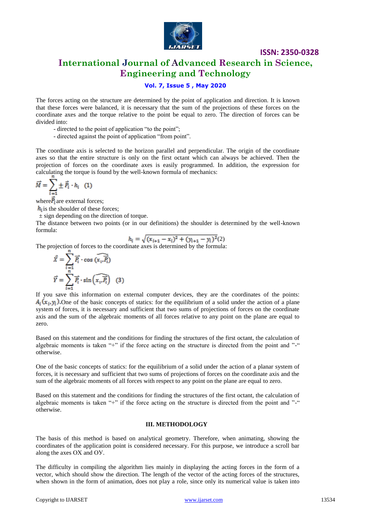

# **International Journal of Advanced Research in Science, Engineering and Technology**

### **Vol. 7, Issue 5 , May 2020**

The forces acting on the structure are determined by the point of application and direction. It is known that these forces were balanced, it is necessary that the sum of the projections of these forces on the coordinate axes and the torque relative to the point be equal to zero. The direction of forces can be divided into:

- directed to the point of application "to the point";
- directed against the point of application "from point".

The coordinate axis is selected to the horizon parallel and perpendicular. The origin of the coordinate axes so that the entire structure is only on the first octant which can always be achieved. Then the projection of forces on the coordinate axes is easily programmed. In addition, the expression for calculating the torque is found by the well-known formula of mechanics:

$$
\vec{M} = \sum_{i=1}^{n} \pm \vec{P}_i \cdot h_i \quad (1)
$$

where $\overline{P_i}$  are external forces;

 $h_i$  is the shoulder of these forces;

± sign depending on the direction of torque.

The distance between two points (or in our definitions) the shoulder is determined by the well-known formula:

$$
h_i = \sqrt{(x_{i+1} - x_i)^2 + (y_{i+1} - y_i)^2}
$$

The projection of forces to the coordinate axes is determined by the formula:

$$
\vec{X} = \sum_{i=1}^{n} \vec{P_i} \cdot \cos(\widehat{x_i, P_i})
$$

$$
\vec{Y} = \sum_{i=1}^{n} \vec{P_i} \cdot \sin(\widehat{x_i, P_i}) \quad (3)
$$

If you save this information on external computer devices, they are the coordinates of the points:  $A_i(x_i, y_i)$ . One of the basic concepts of statics: for the equilibrium of a solid under the action of a plane system of forces, it is necessary and sufficient that two sums of projections of forces on the coordinate axis and the sum of the algebraic moments of all forces relative to any point on the plane are equal to zero.

Based on this statement and the conditions for finding the structures of the first octant, the calculation of algebraic moments is taken "+" if the force acting on the structure is directed from the point and "-" otherwise.

One of the basic concepts of statics: for the equilibrium of a solid under the action of a planar system of forces, it is necessary and sufficient that two sums of projections of forces on the coordinate axis and the sum of the algebraic moments of all forces with respect to any point on the plane are equal to zero.

Based on this statement and the conditions for finding the structures of the first octant, the calculation of algebraic moments is taken "+" if the force acting on the structure is directed from the point and "-" otherwise.

#### **III. METHODOLOGY**

The basis of this method is based on analytical geometry. Therefore, when animating, showing the coordinates of the application point is considered necessary. For this purpose, we introduce a scroll bar along the axes ОХ and ОУ.

The difficulty in compiling the algorithm lies mainly in displaying the acting forces in the form of a vector, which should show the direction. The length of the vector of the acting forces of the structures, when shown in the form of animation, does not play a role, since only its numerical value is taken into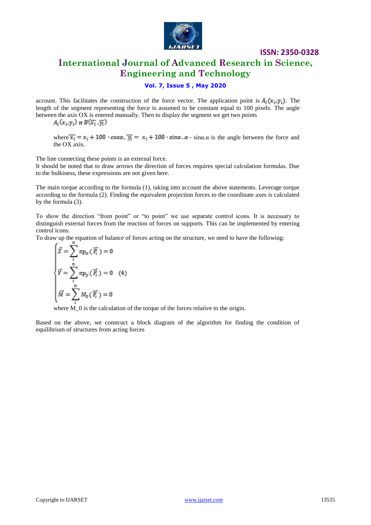

# **International Journal of Advanced Research in Science, Engineering and Technology**

## **Vol. 7, Issue 5 , May 2020**

account. This facilitates the construction of the force vector. The application point is  $A_i(x_i, y_i)$ . The length of the segment representing the force is assumed to be constant equal to 100 pixels. The angle between the axis OX is entered manually. Then to display the segment we get two points  $A_i(x_i, y_i)$  **u**  $B(\overline{x}_i, \overline{y}_i)$ 

where  $\overline{x_i} = x_i + 100 \cdot \cos \alpha$ ,  $\overline{y_i} = x_i + 100 \cdot \sin \alpha$ .  $\alpha$  - sin $\alpha$ .  $\alpha$  is the angle between the force and the OX axis.

The line connecting these points is an external force.

It should be noted that to draw arrows the direction of forces requires special calculation formulas. Due to the bulkiness, these expressions are not given here.

The main torque according to the formula (1), taking into account the above statements. Leverage torque according to the formula (2). Finding the equivalent projection forces to the coordinate axes is calculated by the formula (3).

To show the direction "from point" or "to point" we use separate control icons. It is necessary to distinguish external forces from the reaction of forces on supports. This can be implemented by entering control icons.

To draw up the equation of balance of forces acting on the structure, we need to have the following:

$$
\begin{cases}\n\vec{X} = \sum_{i=1}^{n} \operatorname{mp}_{X}(\vec{P}_{i}) = 0 \\
\vec{Y} = \sum_{i=1}^{n} \operatorname{mp}_{Y}(\vec{P}_{i}) = 0 \quad (4) \\
\vec{M} = \sum_{i=1}^{n} M_{0}(\vec{P}_{i}) = 0\n\end{cases}
$$

where  $\overline{M}$  0 is the calculation of the torque of the forces relative to the origin.

Based on the above, we construct a block diagram of the algorithm for finding the condition of equilibrium of structures from acting forces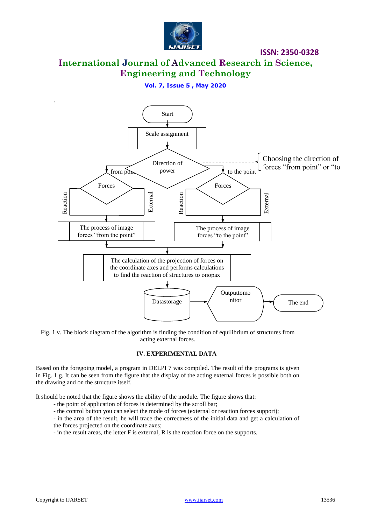

**International Journal of Advanced Research in Science, Engineering and Technology**

## **Vol. 7, Issue 5 , May 2020**



Fig. 1 v. The block diagram of the algorithm is finding the condition of equilibrium of structures from acting external forces.

#### **IV. EXPERIMENTAL DATA**

Based on the foregoing model, a program in DELPI 7 was compiled. The result of the programs is given in Fig. 1 g. It can be seen from the figure that the display of the acting external forces is possible both on the drawing and on the structure itself.

It should be noted that the figure shows the ability of the module. The figure shows that:

- the point of application of forces is determined by the scroll bar;
- the control button you can select the mode of forces (external or reaction forces support);

- in the area of the result, he will trace the correctness of the initial data and get a calculation of the forces projected on the coordinate axes;

- in the result areas, the letter F is external, R is the reaction force on the supports.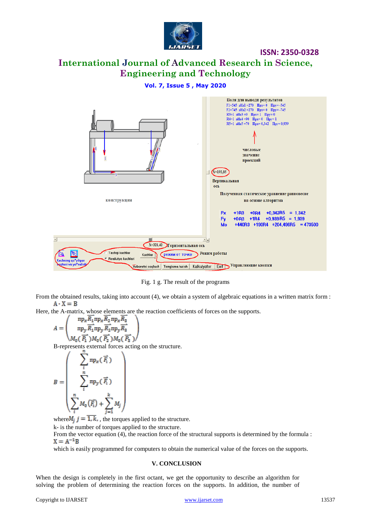

# **International Journal of Advanced Research in Science, Engineering and Technology**

#### **Vol. 7, Issue 5 , May 2020**



Fig. 1 g. The result of the programs

From the obtained results, taking into account (4), we obtain a system of algebraic equations in a written matrix form :  $A \cdot X = B$ 

Here, the A-matrix, whose elements are the reaction coefficients of forces on the supports.

$$
A = \begin{pmatrix} \n\text{np}_x R_1 \text{np}_x R_2 \text{np}_x R_3 \\ \n\text{np}_y \overline{R_1} \text{np}_y \overline{R_2} \text{np}_y \overline{R_3} \\ \nM_0(\overline{P_1}) M_0(\overline{P_2}) M_0(\overline{P_3}) \n\end{pmatrix}
$$

B-represents external forces acting on the structure.

$$
B = \begin{pmatrix} \sum_{i} \operatorname{mp}_{x}(\overrightarrow{F_{i}}) \\ \sum_{i}^{n} \operatorname{mp}_{y}(\overrightarrow{F_{i}}) \\ \sum_{i}^{n} M_{0}(\overrightarrow{F_{i}}) + \sum_{j=1}^{k} M_{j} \end{pmatrix}
$$

where  $M_i$   $j = \overline{1, k}$ , the torques applied to the structure.

k- is the number of torques applied to the structure.

From the vector equation (4), the reaction force of the structural supports is determined by the formula :<br> $X = A^{-1}R$ 

which is easily programmed for computers to obtain the numerical value of the forces on the supports.

#### **V. CONCLUSION**

When the design is completely in the first octant, we get the opportunity to describe an algorithm for solving the problem of determining the reaction forces on the supports. In addition, the number of